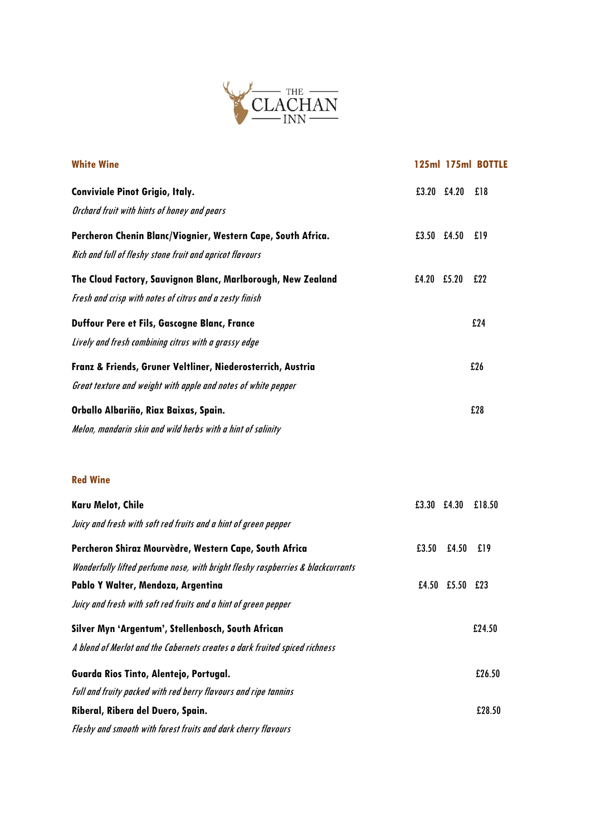

| <b>White Wine</b>                                                               |               |                 | 125ml 175ml BOTTLE |
|---------------------------------------------------------------------------------|---------------|-----------------|--------------------|
| <b>Conviviale Pinot Grigio, Italy.</b>                                          | $£3.20$ £4.20 |                 | 18                 |
| Orchard fruit with hints of honey and pears                                     |               |                 |                    |
| Percheron Chenin Blanc/Viognier, Western Cape, South Africa.                    |               | £3.50 £4.50 £19 |                    |
| Rich and full of fleshy stone fruit and apricot flavours                        |               |                 |                    |
| The Cloud Factory, Sauvignon Blanc, Marlborough, New Zealand                    | £4.20 £5.20   |                 | £22                |
| Fresh and crisp with notes of citrus and a zesty finish                         |               |                 |                    |
| Duffour Pere et Fils, Gascogne Blanc, France                                    |               |                 | £24                |
| Lively and fresh combining citrus with a grassy edge                            |               |                 |                    |
| Franz & Friends, Gruner Veltliner, Niederosterrich, Austria                     |               |                 | £26                |
| Great texture and weight with apple and notes of white pepper                   |               |                 |                    |
| Orballo Albariño, Riax Baixas, Spain.                                           |               |                 | £28                |
| Melon, mandarin skin and wild herbs with a hint of salinity                     |               |                 |                    |
|                                                                                 |               |                 |                    |
| <b>Red Wine</b>                                                                 |               |                 |                    |
| <b>Karu Melot, Chile</b>                                                        | £3.30 £4.30   |                 | £18.50             |
| Juicy and fresh with soft red fruits and a hint of green pepper                 |               |                 |                    |
| Percheron Shiraz Mourvèdre, Western Cape, South Africa                          | £3.50         | £4.50           | f19                |
| Wonderfully lifted perfume nose, with bright fleshy raspberries & blackcurrants |               |                 |                    |
| Pablo Y Walter, Mendoza, Argentina                                              |               | £4.50 £5.50 £23 |                    |
| Juicy and fresh with soft red fruits and a hint of green pepper                 |               |                 |                    |
| Silver Myn 'Argentum', Stellenbosch, South African                              |               |                 | £24.50             |
| A blend of Merlot and the Cabernets creates a dark fruited spiced richness      |               |                 |                    |
| Guarda Rios Tinto, Alentejo, Portugal.                                          |               |                 | £26.50             |
| Full and fruity packed with red berry flavours and ripe tannins                 |               |                 |                    |
| Riberal, Ribera del Duero, Spain.                                               |               |                 | £28.50             |
| Fleshy and smooth with forest fruits and dark cherry flavours                   |               |                 |                    |